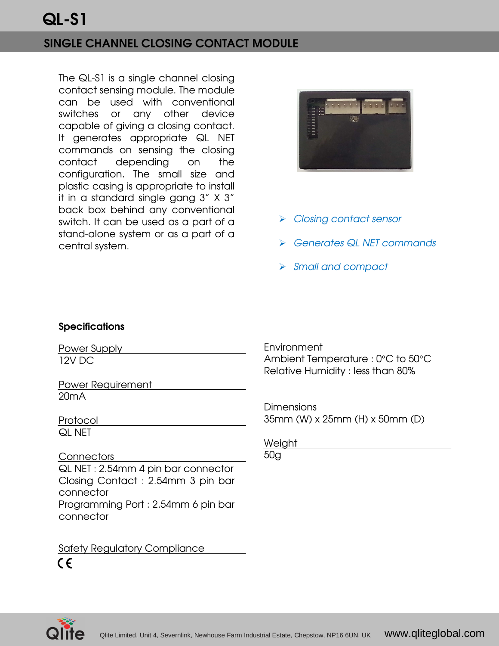## QL-S1

## SINGLE CHANNEL CLOSING CONTACT MODULE

The QL-S1 is a single channel closing contact sensing module. The module can be used with conventional switches or any other device capable of giving a closing contact. It generates appropriate QL NET commands on sensing the closing contact depending on the configuration. The small size and plastic casing is appropriate to install it in a standard single gang 3" X 3" back box behind any conventional switch. It can be used as a part of a stand-alone system or as a part of a central system.



- **▶ Closing contact sensor**
- Generates QL NET commands
- Small and compact

## **Specifications**

Power Supply 12V DC

Power Requirement 20mA

Protocol QL NET

**Connectors** QL NET : 2.54mm 4 pin bar connector Closing Contact : 2.54mm 3 pin bar connector Programming Port : 2.54mm 6 pin bar connector

Safety Regulatory Compliance  $\epsilon$ 

**Environment** 

Ambient Temperature : 0°C to 50°C Relative Humidity : less than 80%

Dimensions

35mm (W) x 25mm (H) x 50mm (D)

Weight

50g